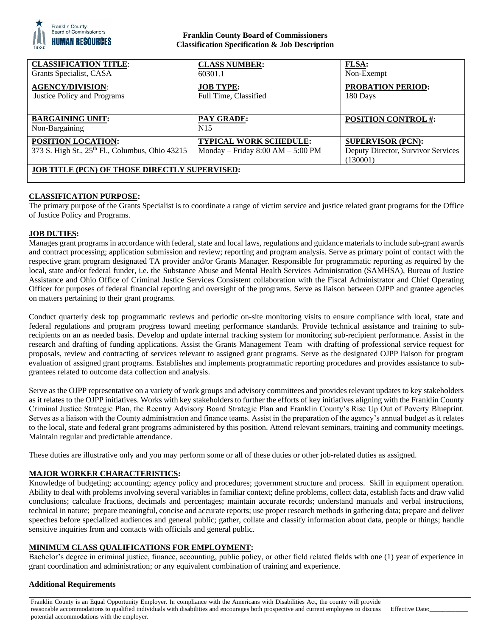

#### **Franklin County Board of Commissioners Classification Specification & Job Description**

| <b>CLASSIFICATION TITLE:</b><br>Grants Specialist, CASA                                  | <b>CLASS NUMBER:</b><br>60301.1                                      | <b>FLSA:</b><br>Non-Exempt                                                 |
|------------------------------------------------------------------------------------------|----------------------------------------------------------------------|----------------------------------------------------------------------------|
| <b>AGENCY/DIVISION:</b><br>Justice Policy and Programs                                   | <b>JOB TYPE:</b><br>Full Time, Classified                            | <b>PROBATION PERIOD:</b><br>180 Days                                       |
| <b>BARGAINING UNIT:</b><br>Non-Bargaining                                                | <b>PAY GRADE:</b><br>N <sub>15</sub>                                 | <b>POSITION CONTROL #:</b>                                                 |
| <b>POSITION LOCATION:</b><br>373 S. High St., 25 <sup>th</sup> Fl., Columbus, Ohio 43215 | <b>TYPICAL WORK SCHEDULE:</b><br>Monday – Friday $8:00 AM - 5:00 PM$ | <b>SUPERVISOR (PCN):</b><br>Deputy Director, Survivor Services<br>(130001) |
| <b>JOB TITLE (PCN) OF THOSE DIRECTLY SUPERVISED:</b>                                     |                                                                      |                                                                            |

# **CLASSIFICATION PURPOSE:**

The primary purpose of the Grants Specialist is to coordinate a range of victim service and justice related grant programs for the Office of Justice Policy and Programs.

# **JOB DUTIES:**

Manages grant programs in accordance with federal, state and local laws, regulations and guidance materials to include sub-grant awards and contract processing; application submission and review; reporting and program analysis. Serve as primary point of contact with the respective grant program designated TA provider and/or Grants Manager. Responsible for programmatic reporting as required by the local, state and/or federal funder, i.e. the Substance Abuse and Mental Health Services Administration (SAMHSA), Bureau of Justice Assistance and Ohio Office of Criminal Justice Services Consistent collaboration with the Fiscal Administrator and Chief Operating Officer for purposes of federal financial reporting and oversight of the programs. Serve as liaison between OJPP and grantee agencies on matters pertaining to their grant programs.

Conduct quarterly desk top programmatic reviews and periodic on-site monitoring visits to ensure compliance with local, state and federal regulations and program progress toward meeting performance standards. Provide technical assistance and training to subrecipients on an as needed basis. Develop and update internal tracking system for monitoring sub-recipient performance. Assist in the research and drafting of funding applications. Assist the Grants Management Team with drafting of professional service request for proposals, review and contracting of services relevant to assigned grant programs. Serve as the designated OJPP liaison for program evaluation of assigned grant programs. Establishes and implements programmatic reporting procedures and provides assistance to subgrantees related to outcome data collection and analysis.

Serve as the OJPP representative on a variety of work groups and advisory committees and provides relevant updates to key stakeholders as it relates to the OJPP initiatives. Works with key stakeholders to further the efforts of key initiatives aligning with the Franklin County Criminal Justice Strategic Plan, the Reentry Advisory Board Strategic Plan and Franklin County's Rise Up Out of Poverty Blueprint. Serves as a liaison with the County administration and finance teams. Assist in the preparation of the agency's annual budget as it relates to the local, state and federal grant programs administered by this position. Attend relevant seminars, training and community meetings. Maintain regular and predictable attendance.

These duties are illustrative only and you may perform some or all of these duties or other job-related duties as assigned.

### **MAJOR WORKER CHARACTERISTICS:**

Knowledge of budgeting; accounting; agency policy and procedures; government structure and process. Skill in equipment operation. Ability to deal with problems involving several variables in familiar context; define problems, collect data, establish facts and draw valid conclusions; calculate fractions, decimals and percentages; maintain accurate records; understand manuals and verbal instructions, technical in nature; prepare meaningful, concise and accurate reports; use proper research methods in gathering data; prepare and deliver speeches before specialized audiences and general public; gather, collate and classify information about data, people or things; handle sensitive inquiries from and contacts with officials and general public.

## **MINIMUM CLASS QUALIFICATIONS FOR EMPLOYMENT:**

Bachelor's degree in criminal justice, finance, accounting, public policy, or other field related fields with one (1) year of experience in grant coordination and administration; or any equivalent combination of training and experience.

### **Additional Requirements**

Franklin County is an Equal Opportunity Employer. In compliance with the Americans with Disabilities Act, the county will provide reasonable accommodations to qualified individuals with disabilities and encourages both prospective and current employees to discuss potential accommodations with the employer. Effective Date: